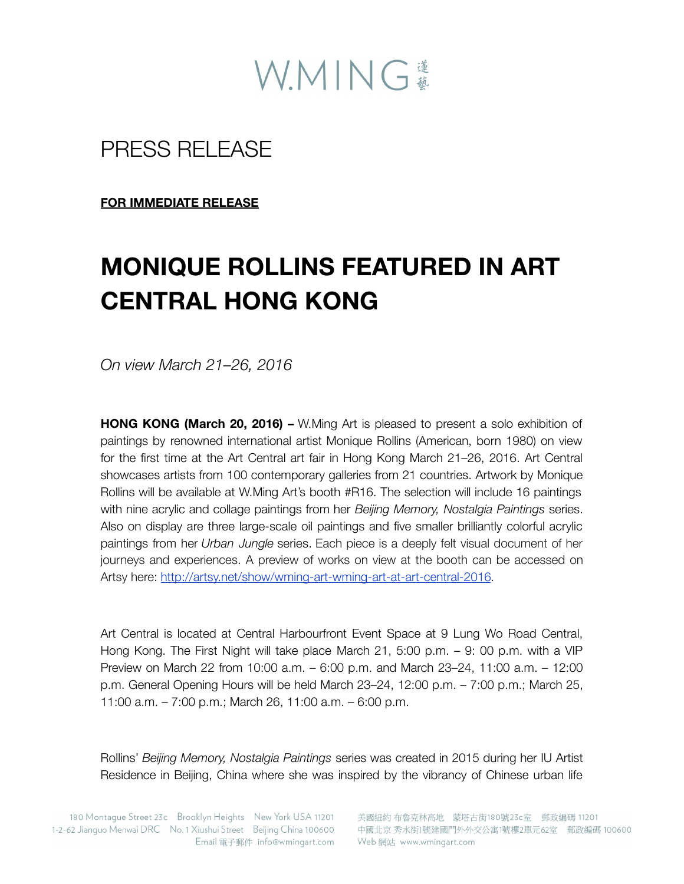

## PRESS RELEASE

**FOR IMMEDIATE RELEASE**

# **MONIQUE ROLLINS FEATURED IN ART CENTRAL HONG KONG**

*On view March 21–26, 2016*

**HONG KONG (March 20, 2016) –** W.Ming Art is pleased to present a solo exhibition of paintings by renowned international artist Monique Rollins (American, born 1980) on view for the first time at the Art Central art fair in Hong Kong March 21–26, 2016. Art Central showcases artists from 100 contemporary galleries from 21 countries. Artwork by Monique Rollins will be available at W.Ming Art's booth #R16. The selection will include 16 paintings with nine acrylic and collage paintings from her *Beijing Memory, Nostalgia Paintings* series. Also on display are three large-scale oil paintings and five smaller brilliantly colorful acrylic paintings from her *Urban Jungle* series. Each piece is a deeply felt visual document of her journeys and experiences. A preview of works on view at the booth can be accessed on Artsy here: [http://artsy.net/show/wming-art-wming-art-at-art-central-2016.](http://artsy.net/show/wming-art-wming-art-at-art-central-2016)

Art Central is located at Central Harbourfront Event Space at 9 Lung Wo Road Central, Hong Kong. The First Night will take place March 21, 5:00 p.m. – 9: 00 p.m. with a VIP Preview on March 22 from 10:00 a.m. – 6:00 p.m. and March 23–24, 11:00 a.m. – 12:00 p.m. General Opening Hours will be held March 23–24, 12:00 p.m. – 7:00 p.m.; March 25, 11:00 a.m. – 7:00 p.m.; March 26, 11:00 a.m. – 6:00 p.m.

Rollins' *Beijing Memory, Nostalgia Paintings* series was created in 2015 during her IU Artist Residence in Beijing, China where she was inspired by the vibrancy of Chinese urban life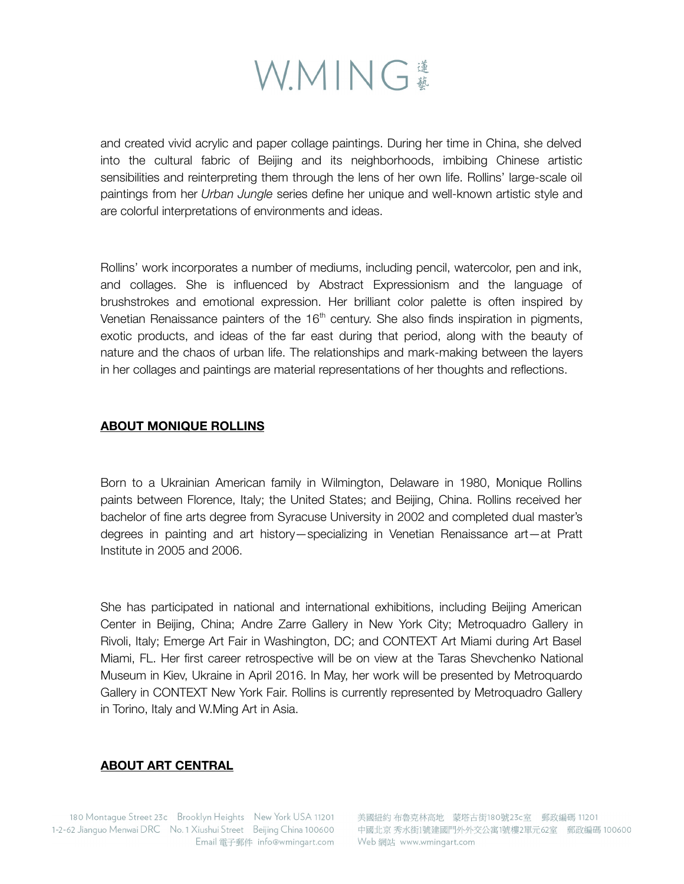

and created vivid acrylic and paper collage paintings. During her time in China, she delved into the cultural fabric of Beijing and its neighborhoods, imbibing Chinese artistic sensibilities and reinterpreting them through the lens of her own life. Rollins' large-scale oil paintings from her *Urban Jungle* series define her unique and well-known artistic style and are colorful interpretations of environments and ideas.

Rollins' work incorporates a number of mediums, including pencil, watercolor, pen and ink, and collages. She is influenced by Abstract Expressionism and the language of brushstrokes and emotional expression. Her brilliant color palette is often inspired by Venetian Renaissance painters of the  $16<sup>th</sup>$  century. She also finds inspiration in pigments, exotic products, and ideas of the far east during that period, along with the beauty of nature and the chaos of urban life. The relationships and mark-making between the layers in her collages and paintings are material representations of her thoughts and reflections.

#### **ABOUT MONIQUE ROLLINS**

Born to a Ukrainian American family in Wilmington, Delaware in 1980, Monique Rollins paints between Florence, Italy; the United States; and Beijing, China. Rollins received her bachelor of fine arts degree from Syracuse University in 2002 and completed dual master's degrees in painting and art history—specializing in Venetian Renaissance art—at Pratt Institute in 2005 and 2006.

She has participated in national and international exhibitions, including Beijing American Center in Beijing, China; Andre Zarre Gallery in New York City; Metroquadro Gallery in Rivoli, Italy; Emerge Art Fair in Washington, DC; and CONTEXT Art Miami during Art Basel Miami, FL. Her first career retrospective will be on view at the Taras Shevchenko National Museum in Kiev, Ukraine in April 2016. In May, her work will be presented by Metroquardo Gallery in CONTEXT New York Fair. Rollins is currently represented by Metroquadro Gallery in Torino, Italy and W.Ming Art in Asia.

### **ABOUT ART CENTRAL**

180 Montaque Street 23c Brooklyn Heights New York USA 11201 1-2-62 Jianguo Menwai DRC No. 1 Xiushui Street Beijing China 100600 Email 電子郵件 info@wmingart.com